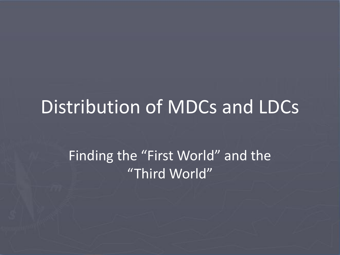### Distribution of MDCs and LDCs

#### Finding the "First World" and the "Third World"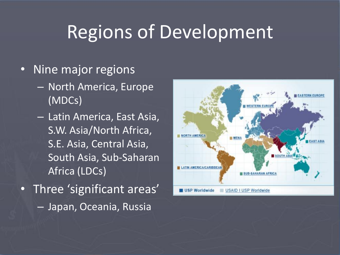### Regions of Development

- Nine major regions
	- North America, Europe (MDCs)
	- Latin America, East Asia, S.W. Asia/North Africa, S.E. Asia, Central Asia, South Asia, Sub-Saharan Africa (LDCs)
- Three 'significant areas' – Japan, Oceania, Russia

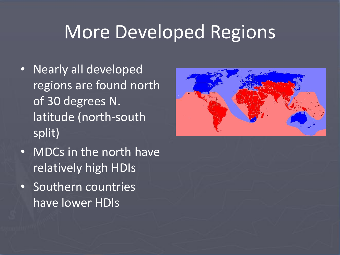### More Developed Regions

- Nearly all developed regions are found north of 30 degrees N. latitude (north-south split)
- MDCs in the north have relatively high HDIs
- Southern countries have lower HDIs

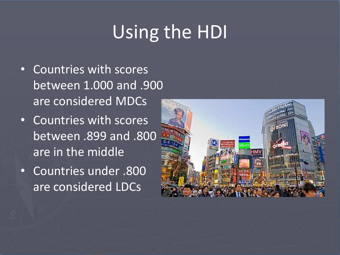# Using the HDI

- Countries with scores between 1.000 and .900 are considered MDCs
- Countries with scores between .899 and .800 are in the middle
- Countries under .800 are considered LDCs

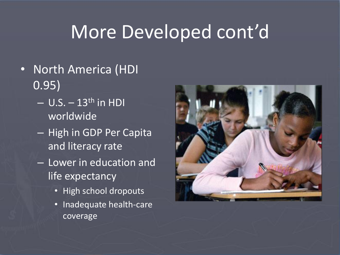- North America (HDI 0.95)
	- $-$  U.S.  $-$  13<sup>th</sup> in HDI worldwide
	- High in GDP Per Capita and literacy rate
	- Lower in education and life expectancy
		- High school dropouts
		- Inadequate health-care coverage

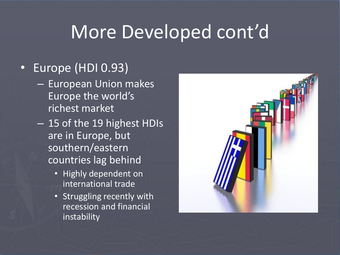#### • Europe (HDI 0.93)

- European Union makes Europe the world's richest market
- 15 of the 19 highest HDIs are in Europe, but southern/eastern countries lag behind
	- Highly dependent on international trade
	- Struggling recently with recession and financial instability

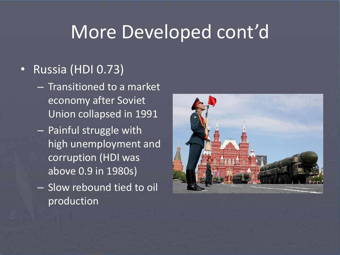#### • Russia (HDI 0.73)

- Transitioned to a market economy after Soviet Union collapsed in 1991
- Painful struggle with high unemployment and corruption (HDI was above 0.9 in 1980s)
- Slow rebound tied to oil production

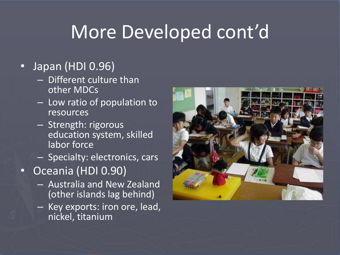#### • Japan (HDI 0.96)

- Different culture than other MDCs
- Low ratio of population to resources
- Strength: rigorous education system, skilled labor force
- Specialty: electronics, cars
- Oceania (HDI 0.90)
	- Australia and New Zealand (other islands lag behind)
	- Key exports: iron ore, lead, nickel, titanium

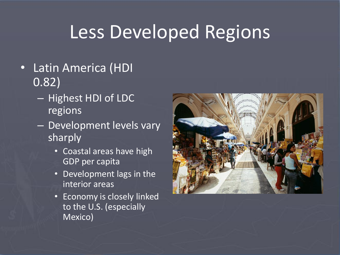## Less Developed Regions

- Latin America (HDI 0.82)
	- Highest HDI of LDC regions
	- Development levels vary sharply
		- Coastal areas have high GDP per capita
		- Development lags in the interior areas
		- Economy is closely linked to the U.S. (especially Mexico)

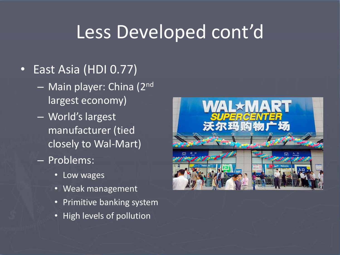#### • East Asia (HDI 0.77)

- Main player: China (2nd largest economy)
- World's largest manufacturer (tied closely to Wal-Mart)
- Problems:
	- Low wages
	- Weak management
	- Primitive banking system
	- High levels of pollution

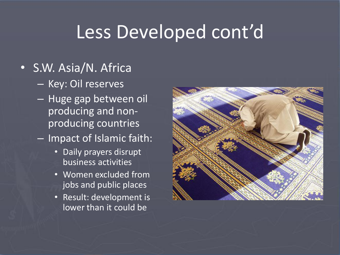#### • S.W. Asia/N. Africa

- Key: Oil reserves
- Huge gap between oil producing and nonproducing countries
- Impact of Islamic faith:
	- Daily prayers disrupt business activities
	- Women excluded from jobs and public places
	- Result: development is lower than it could be

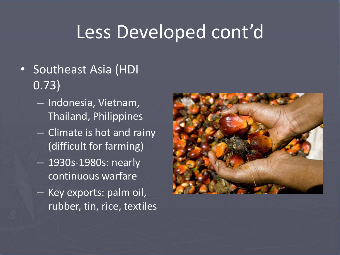- Southeast Asia (HDI 0.73)
	- Indonesia, Vietnam, Thailand, Philippines
	- Climate is hot and rainy (difficult for farming)
	- 1930s-1980s: nearly continuous warfare
	- Key exports: palm oil, rubber, tin, rice, textiles

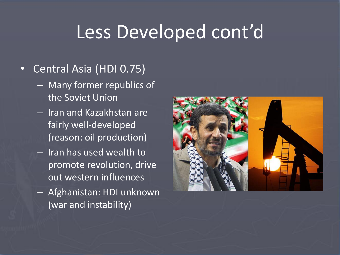#### • Central Asia (HDI 0.75)

- Many former republics of the Soviet Union
- Iran and Kazakhstan are fairly well-developed (reason: oil production)
- Iran has used wealth to promote revolution, drive out western influences
- Afghanistan: HDI unknown (war and instability)

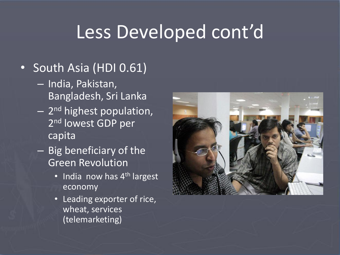#### • South Asia (HDI 0.61)

- India, Pakistan, Bangladesh, Sri Lanka
- 2 nd highest population, 2<sup>nd</sup> lowest GDP per capita
- Big beneficiary of the Green Revolution
	- India now has 4<sup>th</sup> largest economy
	- Leading exporter of rice, wheat, services (telemarketing)